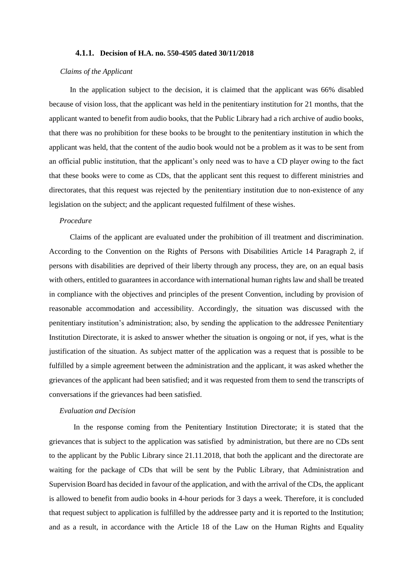## **4.1.1. Decision of H.A. no. 550-4505 dated 30/11/2018**

## *Claims of the Applicant*

In the application subject to the decision, it is claimed that the applicant was 66% disabled because of vision loss, that the applicant was held in the penitentiary institution for 21 months, that the applicant wanted to benefit from audio books, that the Public Library had a rich archive of audio books, that there was no prohibition for these books to be brought to the penitentiary institution in which the applicant was held, that the content of the audio book would not be a problem as it was to be sent from an official public institution, that the applicant's only need was to have a CD player owing to the fact that these books were to come as CDs, that the applicant sent this request to different ministries and directorates, that this request was rejected by the penitentiary institution due to non-existence of any legislation on the subject; and the applicant requested fulfilment of these wishes.

## *Procedure*

Claims of the applicant are evaluated under the prohibition of ill treatment and discrimination. According to the Convention on the Rights of Persons with Disabilities Article 14 Paragraph 2, if persons with disabilities are deprived of their liberty through any process, they are, on an equal basis with others, entitled to guarantees in accordance with international human rights law and shall be treated in compliance with the objectives and principles of the present Convention, including by provision of reasonable accommodation and accessibility. Accordingly, the situation was discussed with the penitentiary institution's administration; also, by sending the application to the addressee Penitentiary Institution Directorate, it is asked to answer whether the situation is ongoing or not, if yes, what is the justification of the situation. As subject matter of the application was a request that is possible to be fulfilled by a simple agreement between the administration and the applicant, it was asked whether the grievances of the applicant had been satisfied; and it was requested from them to send the transcripts of conversations if the grievances had been satisfied.

## *Evaluation and Decision*

In the response coming from the Penitentiary Institution Directorate; it is stated that the grievances that is subject to the application was satisfied by administration, but there are no CDs sent to the applicant by the Public Library since 21.11.2018, that both the applicant and the directorate are waiting for the package of CDs that will be sent by the Public Library, that Administration and Supervision Board has decided in favour of the application, and with the arrival of the CDs, the applicant is allowed to benefit from audio books in 4-hour periods for 3 days a week. Therefore, it is concluded that request subject to application is fulfilled by the addressee party and it is reported to the Institution; and as a result, in accordance with the Article 18 of the Law on the Human Rights and Equality